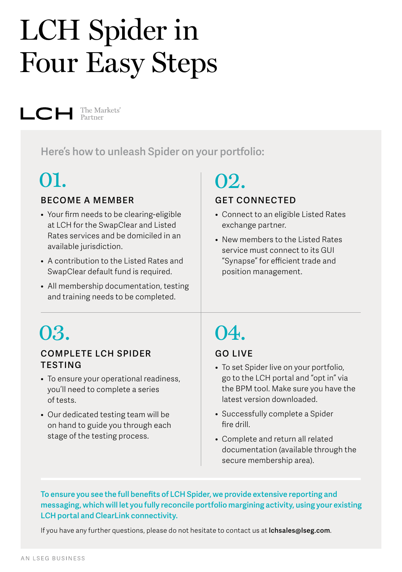# LCH Spider in Four Easy Steps

 $\Box$   $\Box$  The Markets'

**Here's how to unleash Spider on your portfolio:** 

### 01.

#### **BECOME A MEMBER**

- Your firm needs to be clearing-eligible at LCH for the SwapClear and Listed Rates services and be domiciled in an available jurisdiction.
- A contribution to the Listed Rates and SwapClear default fund is required.
- All membership documentation, testing and training needs to be completed.

### **GET CONNECTED** 02.

- Connect to an eligible Listed Rates exchange partner.
- New members to the Listed Rates service must connect to its GUI "Synapse" for efficient trade and position management.

## 03.

#### **COMPLETE LCH SPIDER TESTING**

- To ensure your operational readiness, you'll need to complete a series of tests.
- Our dedicated testing team will be on hand to guide you through each stage of the testing process.

## 04.

#### **GO LIVE**

- To set Spider live on your portfolio, go to the LCH portal and "opt in" via the BPM tool. Make sure you have the latest version downloaded.
- Successfully complete a Spider fire drill.
- Complete and return all related documentation (available through the secure membership area).

**To ensure you see the full benefits of LCH Spider, we provide extensive reporting and messaging, which will let you fully reconcile portfolio margining activity, using your existing LCH portal and ClearLink connectivity.**

If you have any further questions, please do not hesitate to contact us at **[lchsales@lseg.com](mailto:lchsales%40lseg.com?subject=)**.